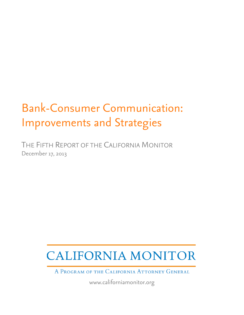# Bank-Consumer Communication: Improvements and Strategies

THE FIFTH REPORT OF THE CALIFORNIA MONITOR December 17, 2013

# **CALIFORNIA MONITOR**

A PROGRAM OF THE CALIFORNIA ATTORNEY GENERAL

www.californiamonitor.org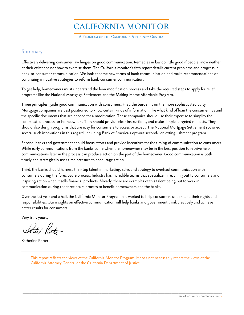**CALIFORNIA MONITOR** 

A PROGRAM OF THE CALIFORNIA ATTORNEY GENERAL

# Summary

Effectively delivering consumer law hinges on good communication. Remedies in law do little good if people know neither of their existence nor how to exercise them. The California Monitor's fifth report details current problems and progress in bank-to-consumer communication. We look at some new forms of bank communication and make recommendations on continuing innovative strategies to reform bank-consumer communication.

To get help, homeowners must understand the loan modification process and take the required steps to apply for relief programs like the National Mortgage Settlement and the Making Home Affordable Program.

Three principles guide good communication with consumers. First, the burden is on the more sophisticated party. Mortgage companies are best positioned to know certain kinds of information, like what kind of loan the consumer has and the specific documents that are needed for a modification. These companies should use their expertise to simplify the complicated process for homeowners. They should provide clear instructions, and make simple, targeted requests. They should also design programs that are easy for consumers to access or accept. The National Mortgage Settlement spawned several such innovations in this regard, including Bank of America's opt-out second-lien extinguishment program.

Second, banks and government should focus efforts and provide incentives for the timing of communication to consumers. While early communications from the banks come when the homeowner may be in the best position to receive help, communications later in the process can produce action on the part of the homeowner. Good communication is both timely and strategically uses time pressure to encourage action.<br>Third, the banks should harness their top talent in marketing, sales and strategy to overhaul communication with

consumers during the foreclosure process. Industry has incredible teams that specialize in reaching out to consumers and inspiring action when it sells financial products. Already, there are examples of this talent being put to work in communication during the foreclosure process to benefit homeowners and the banks.

Over the last year and a half, the California Monitor Program has worked to help consumers understand their rights and responsibilities. Our insights on effective communication will help banks and government think creatively and achieve better results for consumers.

Very truly yours,

Katu Porta

Katherine Porter

This report reflects the views of the California Monitor Program. It does not necessarily reflect the views of the California Attorney General or the California Department of Justice.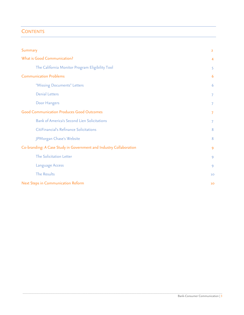# **CONTENTS**

| Summary                                                            | $\overline{2}$ |
|--------------------------------------------------------------------|----------------|
| What is Good Communication?                                        | $\overline{4}$ |
| The California Monitor Program Eligibility Tool                    | 5              |
| <b>Communication Problems</b>                                      | 6              |
| "Missing Documents" Letters                                        | 6              |
| <b>Denial Letters</b>                                              | 7              |
| Door Hangers                                                       | 7              |
| <b>Good Communication Produces Good Outcomes</b>                   | 7              |
| <b>Bank of America's Second Lien Solicitations</b>                 | 7              |
| CitiFinancial's Refinance Solicitations                            | 8              |
| JPMorgan Chase's Website                                           | 8              |
| Co-branding: A Case Study in Government and Industry Collaboration | 9              |
| The Solicitation Letter                                            | 9              |
| Language Access                                                    | 9              |
| <b>The Results</b>                                                 | 10             |
| Next Steps in Communication Reform                                 | 10             |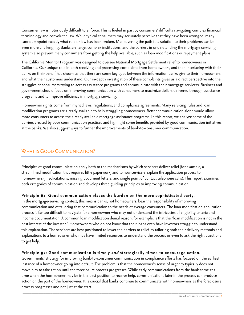Consumer law is notoriously difficult to enforce. This is fueled in part by consumers' difficulty navigating complex financial terminology and convoluted law. While typical consumers may accurately perceive that they have been wronged, many cannot pinpoint exactly what rule or law has been broken. Maneuvering the path to a solution to their problems can be even more challenging. Banks are large, complex institutions, and the barriers in understanding the mortgage servicing system also prevent many consumers from getting the help available, such as loan modifications or repayment plans.

The California Monitor Program was designed to oversee National Mortgage Settlement relief to homeowners in California. Our unique role in both receiving and processing complaints from homeowners, and then interfacing with their banks on their behalf has shown us that there are some key gaps between the information banks give to their homeowners and what their customers understand. Our in-depth investigation of these complaints gives us a direct perspective into the struggles of consumers trying to access assistance programs and communicate with their mortgage servicers. Business and government should focus on improving communication with consumers to maximize dollars delivered through assistance programs and to improve efficiency in mortgage servicing.

 at the banks. We also suggest ways to further the improvements of bank-to-consumer communication. Homeowner rights come from myriad laws, regulations, and compliance agreements. Many servicing rules and loan modification programs are already available to help struggling homeowners. Better communication alone would allow more consumers to access the already available mortgage assistance programs. In this report, we analyze some of the barriers created by poor communication practices and highlight some benefits provided by good communication initiatives

# WHAT IS GOOD COMMUNICATION?

\_\_\_\_\_\_\_\_\_\_\_\_\_\_\_\_\_\_\_\_\_\_\_\_\_\_\_\_\_\_\_\_\_\_\_\_\_\_\_\_\_\_\_\_

Principles of good communication apply both to the mechanisms by which servicers deliver relief (for example, a streamlined modification that requires little paperwork) and to how servicers explain the application process to homeowners (in solicitations, missing document letters, and single point of contact telephone calls). This report examines both categories of communication and develops three guiding principles to improving communication.

# Principle #1: Good communication places the burden on the more sophisticated party.

In the mortgage-servicing context, this means banks, not homeowners, bear the responsibility of improving communication and of tailoring that communication to the needs of average consumers. The loan modification application process is far too difficult to navigate for a homeowner who may not understand the intricacies of eligibility criteria and income documentation. A common loan modification denial reason, for example, is that the "loan modification is not in the best interest of the investor." Homeowners who do not know that their loans even have investors struggle to understand this explanation. The servicers are best positioned to lower the barriers to relief by tailoring both their delivery methods and explanations to a homeowner who may have limited resources to understand the process or even to ask the right questions to get help.

Principle #2: Good communication is timely <u>and</u> strategically-timed to encourage action.<br>Governments' strategy for improving bank-to-consumer communication in compliance efforts has focused on the earliest instance of a homeowner going into default. The problem is that the homeowner's sense of urgency typically does not move him to take action until the foreclosure process progresses. While early communications from the bank come at a time when the homeowner may be in the best position to receive help, communications later in the process can produce action on the part of the homeowner. It is crucial that banks continue to communicate with homeowners as the foreclosure process progresses and not just at the start.

\_\_\_\_\_\_\_\_\_\_\_\_\_\_\_\_\_\_\_\_\_\_\_\_\_\_\_\_\_\_\_\_\_\_\_\_\_\_\_\_\_\_\_\_\_\_\_\_\_\_\_\_\_\_\_\_\_\_\_\_\_\_\_\_\_\_\_\_\_\_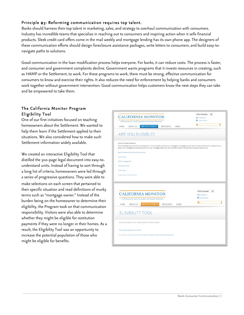# Principle #3: Reforming communication requires top talent.

Banks should harness their top talent in marketing, sales, and strategy to overhaul communication with consumers. Industry has incredible teams that specialize in reaching out to consumers and inspiring action when it sells financial products. Sleek credit card offers come in the mail weekly and mortgage lending has its own phone app. The designers of these communication efforts should design foreclosure assistance packages, write letters to consumers, and build easy-tonavigate paths to solutions.

Good communication in the loan modification process helps everyone. For banks, it can reduce costs. The process is faster, and consumer and government complaints decline. Government wants programs that it invests resources in creating, such as HAMP or the Settlement, to work. For these programs to work, there must be strong, effective communication for consumers to know and exercise their rights. It also reduces the need for enforcement by helping banks and consumers work together without government intervention. Good communication helps customers know the next steps they can take and be empowered to take them.

\_\_\_\_\_\_\_\_\_\_\_\_\_\_\_\_\_\_\_\_\_\_\_\_\_\_\_\_\_\_\_\_\_\_\_\_\_\_\_\_\_\_\_\_\_\_\_\_\_\_\_\_\_\_\_\_\_\_\_\_\_\_\_\_\_\_\_\_\_\_\_\_\_\_\_\_\_\_\_\_\_\_\_\_\_\_\_\_\_\_\_\_\_\_\_\_\_\_\_\_\_\_\_\_\_\_\_\_\_\_\_\_\_\_

# The California Monitor Program Eligibility Tool

One of our first initiatives focused on teaching homeowners about the Settlement. We wanted to help them learn if the Settlement applied to their situations. We also considered how to make such Settlement information widely available.

We created an interactive Eligibility Tool that distilled the 300-page legal document into easy-tounderstand units. Instead of having to sort through a long list of criteria, homeowners were led through a series of progressive questions. They were able to make selections on each screen that pertained to their specific situation and read definitions of murky terms such as "mortgage owner." Instead of the burden being on the homeowner to determine their eligibility, the Program took on that communication responsibility. Visitors were also able to determine whether they might be eligible for restitution payments if they were no longer in their homes. As a result, the Eligibility Tool was an opportunity to increase the potential population of those who might be eligible for benefits.

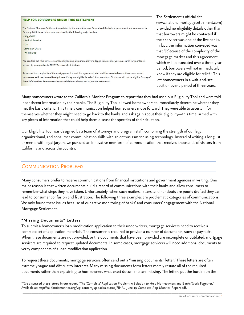## **HELP FOR BORROWERS UNDER THIS SETTLEMENT** The National Mortgage Settlement negotiated by the state Attorneys General and the federal government and announced in February 2012 impacts borrowers serviced by the following major lenders: - Ally/GMAC · Bank of America  $\cdot$  Citi · JPMorgan Chase · Wells Fargo You can find out who services your loan by looking at your monthly mortgage statement or you can search for your loan's servicer by going online to MERS® Servicer Identification. Because of the complexity of the mortgage market and this agreement, which will be executed over a three-year period, borrowers will not immediately know if they are eligible for relief. Borrowers from Oklahoma will not be eligible for any of the relief directly to homeowners because Oklahoma elected not to join the settlement

 provided no eligibility details other than The Settlement's official site (www.nationalmortgagesettlement.com) that borrowers might be contacted if their servicer was one of the five banks. In fact, the information conveyed was that "[b]ecause of the complexity of the mortgage market and this agreement, which will be executed over a three-year period, borrowers will not immediately know if they are eligible for relief." This left homeowners in a wait-and-see position over a period of three years.

Many homeowners wrote to the California Monitor Program to report that they had used our Eligibility Tool and were told inconsistent information by their banks. The Eligibility Tool allowed homeowners to immediately determine whether they met the basic criteria. This timely communication helped homeowners move forward. They were able to ascertain for themselves whether they might need to go back to the banks and ask again about their eligibility—this time, armed with key pieces of information that could help them discuss the specifics of their situation.

 Our Eligibility Tool was designed by a team of attorneys and program staff, combining the strength of our legal, organizational, and consumer communication skills with an enthusiasm for using technology. Instead of writing a long list or memo with legal jargon, we pursued an innovative new form of communication that received thousands of visitors from California and across the country.

# COMMUNICATION PROBLEMS

Many consumers prefer to receive communications from financial institutions and government agencies in writing. One major reason is that written documents build a record of communications with their banks and allow consumers to remember what steps they have taken. Unfortunately, when such mailers, letters, and handouts are poorly drafted they can lead to consumer confusion and frustration. The following three examples are problematic categories of communications. We only found these issues because of our active monitoring of banks' and consumers' engagement with the National Mortgage Settlement.

### "Missing Documents" Letters

To submit a homeowner's loan modification application to their underwriters, mortgage servicers need to receive a complete set of application materials. The consumer is required to provide a number of documents, such as paystubs. When these documents are not provided, or the documents that have been provided are incomplete or outdated, mortgage servicers are required to request updated documents. In some cases, mortgage servicers will need additional documents to

verify components of a loan modification application.<br>To request these documents, mortgage servicers often send out a "missing documents" letter.<sup>1</sup> These letters are often extremely vague and difficult to interpret. Many missing documents form letters merely restate all of the required documents rather than explaining to homeowners what exact documents are missing. The letters put the burden on the

 $^{\text{\tiny 1}}$  We discussed these letters in our report, "The 'Complete' Application Problem: A Solution to Help Homeowners and Banks Work Together." Available at: http://californiamonitor.org/wp-content/uploads/2013/06/FINAL-June-19-Complete-App-Monitor-Report.pdf.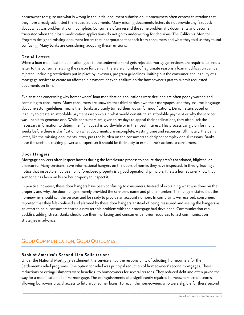homeowner to figure out what is wrong in the initial document submission. Homeowners often express frustration that they have already submitted the requested documents. Many missing documents letters do not provide any feedback about what was problematic or incomplete. Consumers often resend the same problematic documents and become frustrated when their loan modification applications do not go to underwriting for decisions. The California Monitor Program designed missing document letters that incorporated feedback from consumers and what they told us they found confusing. Many banks are considering adopting these revisions. Denial Letters

i When a loan modification application goes to the underwriter and gets rejected, mortgage servicers are required to send a letter to the consumer stating the reason for denial. There are a number of legitimate reasons a loan modification can be rejected, including restrictions put in place by investors, program guidelines limiting out the consumer, the inability of a mortgage servicer to create an affordable payment, or even a failure on the homeowner's part to submit requested documents on time.

Explanations concerning why homeowners' loan modification applications were declined are often poorly worded and confusing to consumers. Many consumers are unaware that third parties own their mortgages, and they assume language about investor guidelines means their banks arbitrarily turned them down for modifications. Denial letters based on inability to create an affordable payment rarely explain what would constitute an affordable payment or why the servicer was unable to generate one. While consumers are given thirty days to appeal their declinations, they often lack the necessary information to determine if an appeal is worthwhile or in their best interest. This process can go on for many weeks before there is clarification on what documents are incomplete, wasting time and resources. Ultimately, the denial letter, like the missing documents letter, puts the burden on the consumers to decipher complex denial reasons. Banks have the decision-making power and expertise; it should be their duty to explain their actions to consumers.

# Door Hangers

Mortgage servicers often inspect homes during the foreclosure process to ensure they aren't abandoned, blighted, or unsecured. Many servicers leave informational hangers on the doors of homes they have inspected. In theory, leaving a notice that inspectors had been on a foreclosed property is a good operational principle. It lets a homeowner know that someone has been on his or her property to inspect it.

In practice, however, these door hangers have been confusing to consumers. Instead of explaining what was done on the property and why, the door hangers merely provided the servicer's name and phone number. The hangers stated that the homeowner should call the servicer and be ready to provide an account number. In complaints we received, consumers reported that they felt confused and alarmed by these door hangers. Instead of being reassured and seeing the hangers as an effort to help, consumers feared a new terrible problem with their mortgage had developed. Communication can backfire, adding stress. Banks should use their marketing and consumer behavior resources to test communication strategies in advance.

# GOOD COMMUNICATION, GOOD OUTCOMES

# Bank of America's Second Lien Solicitations

Under the National Mortgage Settlement, the servicers had the responsibility of soliciting homeowners for the Settlement's relief programs. One option for relief was principal reduction of homeowners' second mortgages. These reductions or extinguishments were beneficial to homeowners for several reasons. They reduced debt and often paved the way for a modification of a first mortgage. The extinguishments also significantly repaired homeowners' credit scores, allowing borrowers crucial access to future consumer loans. To reach the homeowners who were eligible for these second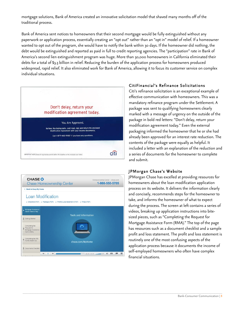mortgage solutions, Bank of America created an innovative solicitation model that shaved many months off of the traditional process.

Bank of America sent notices to homeowners that their second mortgage would be fully extinguished without any paperwork or application process, essentially creating an "opt out" rather than an "opt in" model of relief. If a homeowner wanted to opt out of the program, she would have to notify the bank within 30 days. If the homeowner did nothing, the debt would be extinguished and reported as paid in full to credit reporting agencies. The "participation" rate in Bank of America's second lien extinguishment program was huge. More than 30,000 homeowners in California eliminated their debts for a total of \$3.3 billion in relief. Reducing the burden of the application process for homeowners produced widespread, rapid relief. It also eliminated work for Bank of America, allowing it to focus its customer service on complex individual situations.



| Chase Homeownership Center                                                                         |
|----------------------------------------------------------------------------------------------------|
|                                                                                                    |
|                                                                                                    |
| $\leq$ Checklist (PDF) $\leq$ Package (PDF) $\leq$ Profit & Loss Statement (PDF) $\leq$ FAQs (PDF) |
|                                                                                                    |
|                                                                                                    |
| <b>Tools and Information</b>                                                                       |
|                                                                                                    |
|                                                                                                    |
|                                                                                                    |
|                                                                                                    |
| chase.com/MyHome                                                                                   |
|                                                                                                    |
|                                                                                                    |

## CitiFinancial's Refinance Solicitations

Citi's refinance solicitation is an exceptional example of effective communication with homeowners. This was a mandatory refinance program under the Settlement. A package was sent to qualifying homeowners clearly marked with a message of urgency on the outside of the package in bold red letters: "Don't delay, return your modification agreement today." Even the external packaging informed the homeowner that he or she had already been approved for an interest rate reduction. The contents of the package were equally as helpful. It included a letter with an explanation of the reduction and a series of documents for the homeowner to complete and submit.

### JPMorgan Chase's Website

JPMorgan Chase has excelled at providing resources for homeowners about the loan modification application process on its website. It delivers the information clearly and concisely, recommends steps for the homeowner to take, and informs the homeowner of what to expect during the process. The screen at left contains a series of videos, breaking up application instructions into bitesized pieces, such as "Completing the Request for Mortgage Assistance Form (RMA)." The top of the page has resources such as a document checklist and a sample profit and loss statement. The profit and loss statement is routinely one of the most confusing aspects of the application process because it documents the income of self-employed homeowners who often have complex financial situations.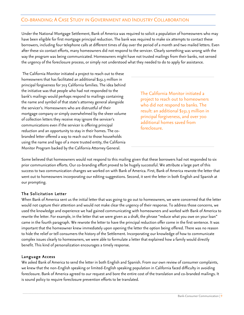# CO-BRANDING: A C ASE STUDY IN GOVERNMENT AND INDUSTRY COLLABORATION

Under the National Mortgage Settlement, Bank of America was required to solicit a population of homeowners who may have been eligible for first mortgage principal reduction. The bank was required to make six attempts to contact these borrowers, including four telephone calls at different times of day over the period of a month and two mailed letters. Even after these six contact efforts, many homeowners did not respond to the servicer. Clearly something was wrong with the way the program was being communicated. Homeowners might have not trusted mailings from their banks, not sensed the urgency of the foreclosure process, or simply not understood what they needed to do to apply for assistance.

The California Monitor initiated a project to reach out to these homeowners that has facilitated an additional \$151.3 million in principal forgiveness for 703 California families. The idea behind the initiative was that people who had not responded to the bank's mailings would perhaps respond to mailings containing the name and symbol of that state's attorney general alongside the servicer's. Homeowners who are distrustful of their mortgage company or simply overwhelmed by the sheer volume of collection letters they receive may ignore the servicer's communications even if the servicer is offering principal reduction and an opportunity to stay in their homes. The cobranded letter offered a way to reach out to those households using the name and logo of a more trusted entity, the California The California Monitor initiated a<br>bank's mailings would perhaps respond to mailings containing<br>the name and symbol of that state's attorney general alongside<br>the servicer's. Homeowners who are distrustful of their<br>mortgag

project to reach out to homeowners who did not respond to banks. The result: an additional \$151.3 million in principal forgiveness, and over 700 additional homes saved from foreclosure.

Some believed that homeowners would not respond to this mailing given that these borrowers had not responded to six prior communication efforts. Our co-branding effort proved to be hugely successful. We attribute a large part of this success to two communication changes we worked on with Bank of America. First, Bank of America rewrote the letter that went out to homeowners incorporating our editing suggestions. Second, it sent the letter in both English and Spanish at our prompting.

### The Solicitation Letter

When Bank of America sent us the initial letter that was going to go out to homeowners, we were concerned that the letter would not capture their attention and would not make clear the urgency of their response. To address those concerns, we used the knowledge and experience we had gained communicating with homeowners and worked with Bank of America to rewrite the letter. For example, in the letter that we were given as a draft, the phrase "reduce what you owe on your loan" came in the fourth paragraph. We rewrote the letter to have the principal reduction offer come in the first sentence. It was important that the homeowner knew immediately upon opening the letter the option being offered. There was no reason to hide the relief or tell consumers the history of the Settlement. Incorporating our knowledge of how to communicate complex issues clearly to homeowners, we were able to formulate a letter that explained how a family would directly benefit. This kind of personalization encourages a timely response.

#### Language Access

 We asked Bank of America to send the letter in both English and Spanish. From our own review of consumer complaints, we knew that the non-English speaking or limited-English speaking population in California faced difficulty in avoiding foreclosure. Bank of America agreed to our request and bore the entire cost of the translation and co-branded mailings. It is sound policy to require foreclosure prevention efforts to be translated.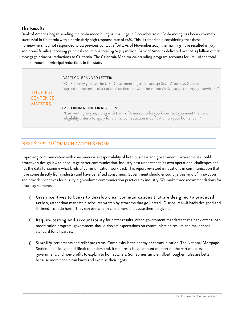# The Results

Bank of America began sending the co-branded bilingual mailings in December 2012. Co-branding has been extremely successful in California with a particularly high response rate of 26%. This is remarkable considering that these homeowners had not responded to six previous contact efforts. As of November 2013, the mailings have resulted in 703 additional families receiving principal reductions totaling \$151.3 million. Bank of America delivered over \$2.24 billion of first mortgage principal reductions to California. The California Monitor co-branding program accounts for 6.7% of the total dollar amount of principal reductions in the state.

#### DRAFT CO-BRANDED LETTER:

"On February 9, 2012, the U.S. Department of Justice and 49 State Attorneys General agreed to the terms of a national settlement with the country's five largest mortgage servicers."

THE FIRST **SENTENCE** MATTERS.

# CALIFORNIA MONITOR REVISION:

"I am writing to you, along with Bank of America, to let you know that you meet the basic eligibility criteria to apply for a principal reduction modification on your home loan."

# NEXT STEPS IN COMMUNICATION REFORM

Improving communication with consumers is a responsibility of both business and government. Government should proactively design law to encourage better communication. Industry best understands its own operational challenges and has the data to examine what kinds of communication work best. This report reviewed innovations in communication that have come directly from industry and have benefited consumers. Government should encourage this kind of innovation and provide incentives for quality high-volume communication practices by industry. We make three recommendations for future agreements:

- 1) Give incentives to banks to develop clear communications that are designed to produced action, rather than mandate disclosures written by attorneys that go unread. Disclosures—if badly designed and ill timed—can do harm. They can overwhelm consumers and cause them to give up.
- 2) Require testing and accountability for better results. When government mandates that a bank offer a loan modification program, government should also set expectations on communication results and make those standard for all parties.
- 3) Simplify settlements and relief programs. Complexity is the enemy of communication. The National Mortgage Settlement is long and difficult to understand. It requires a huge amount of effort on the part of banks, government, and non-profits to explain to homeowners. Sometimes simpler, albeit rougher, rules are better because more people can know and exercise their rights.